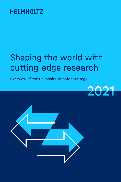# Shaping the world with cutting-edge research

Overview of the Helmholtz transfer strategy



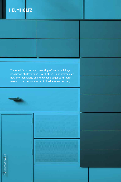The real-life lab with a consulting office for buildingintegrated photovoltaics (BAIP) at HZB is an example of how the technology and knowledge acquired through research can be transferred to business and society.



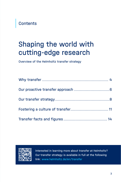**Contents** 

## Shaping the world with cutting-edge research

Overview of the Helmholtz transfer strategy



Interested in learning more about transfer at Helmholtz? Our transfer strategy is available in full at the following link: www.helmholtz.de/en/transfer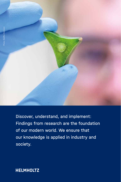

Discover, understand, and implement: Findings from research are the foundation of our modern world. We ensure that our knowledge is applied in industry and society.

**HELMHOLTZ**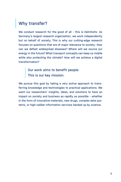### Why transfer?

We conduct research for the good of all - this is Helmholtz. As Germany's largest research organization, we work independently but on behalf of society. This is why our cutting-edge research focuses on questions that are of major relevance to society: How can we defeat widespread diseases? Where will we source our energy in the future? What transport concepts can keep us mobile while also protecting the climate? How will we achieve a digital transformation?

> Our work aims to benefit people: This is our key mission.

We pursue this goal by taking a very active approach to transferring knowledge and technologies to practical applications. We want our researchers' insights, ideas, and solutions to have an impact on society and business as rapidly as possible – whether in the form of innovative materials, new drugs, complex data systems, or high-caliber information services backed up by science.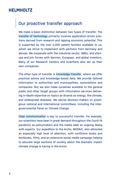#### Our proactive transfer approach

We make a basic distinction between two types of transfer: The transfer of technology primarily involves application-driven solutions derived from research and tapping economic potential. This is supported by the over 4,000 patent families available to us, which we strive to implement with partners from Germany and abroad. We cooperate with the industrial sector, SMEs, and startups and join forces with German, European, and global investors. Many of our Research Centers and scientists also set up their own companies.

The other type of transfer is knowledge transfer, where we offer practical advice and knowledge-based data. We provide tailored information to authorities and municipalities, associations and companies. But we also make ourselves available to the general public and other target groups with information services delivering in-depth expertise on topics as diverse as energy, the climate, and widespread diseases. We advise decision-makers on prestigious national and international committees, including the Intergovernmental Panel on Climate Change.

Clear communication is key to successful transfer. For example, our scientists have been in great demand throughout the Covid-19 pandemic as policymakers and the media seek an ongoing dialog with experts. Our expedition to the Arctic, MOSAiC, also attracted an especially high level of attention, with nonfiction books and textbooks, films, and an extensive social media campaign helping to educate large sections of society about the dramatic impact climate change is having in the Arctic.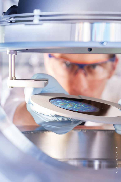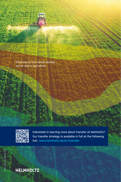E-learning on how remote sensing can be used in agriculture



Interested in learning more about transfer at Helmholtz? Our transfer strategy is available in full at the following link: www.helmholtz.de/en/transfer



## **HELMHOLTZ**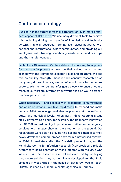#### Our transfer strategy

Our goal for the future is to make transfer an even more prominent aspect at Helmholtz. We use many different tools to achieve this, including driving the transfer of knowledge and technology with financial resources, forming even closer networks with national and international expert communities, and providing our employees with training specifically centered around startups and the transfer concept.

Each of our 18 Research Centers defines its own key focal points for the transfer process – based on their subject expertise and aligned with the Helmholtz Research Fields and programs. We see this as our key strength – because we conduct research on so many very different topics, we can offer solutions for numerous sectors. We monitor our transfer goals closely to ensure we are reaching our targets in terms of our work itself as well as from a financial perspective.

When necessary – and especially in exceptional circumstances and crisis situations – we take rapid steps to respond and make our specialist knowledge available to planners at the national, state, and municipal levels. When North Rhine-Westphalia was hit by devastating floods, for example, the Helmholtz Innovation Lab OPTSAL moved quickly to provide authorities and emergency services with images showing the situation on the ground. Our researchers were able to provide this assistance thanks to their newly developed camera drones that form a networked system. In 2020, immediately after the Covid-19 pandemic began, the Helmholtz Centre for Infection Research (HZI) provided a reliable system for tracing contacts of those infected with the virus who were at risk. The researchers at HZI achieved this by modifying a software solution they had originally developed for the Ebola epidemic in West Africa in the space of just a few weeks. Today, SORMAS is used by numerous health agencies in Germany.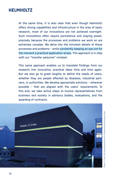At the same time, it is also clear that even though Helmholtz offers strong capabilities and infrastructure in the area of basic research, most of our innovations are not achieved overnight. Such innovations often require persistence and staving power. precisely because the processes and problems we work on are extremely complex. We delve into the minutest details of these processes and problems – while constantly keeping an eye out for the moment a practical application arises. This approach is in step with our "transfer welcome" mindset.

This same approach enables us to translate findings from our research into innovative, practical ideas time and time again. But we also go to great lengths to define the needs of users. whether they are people affected by diseases, industrial partners, or authorities. We develop appropriate solutions – wherever possible – that are aligned with the users' requirements. To this end, we take active steps to involve representatives from business and society in advisory bodies, evaluations, and the awarding of contracts.

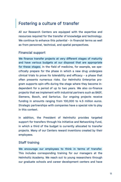#### Fostering a culture of transfer

All our Research Centers are equipped with the expertise and resources required for the transfer of knowledge and technology. We continue to enhance this potential – in financial terms as well as from personnel, technical, and spatial perspectives.

#### Financial support

We finance transfer projects at very different stages of maturity and have various budgets at our disposal that are appropriate for these stages. In the field of medicine, for example, we specifically prepare for the phase in which a new drug undergoes clinical trials to prove its tolerability and efficacy – a phase that often presents numerous risks. Our Helmholtz Enterprise program supports spin-offs during the stage where they become independent for a period of up to two years. We also co-finance projects that we implement with industrial partners such as BASF, Siemens, Bosch, and Sartorius. Our ongoing projects receive funding in amounts ranging from 100,000 to 4.5 million euros. Strategic partnerships with companies have a special role to play in this context.

In addition, the President of Helmholtz provides targeted support for transfers through his Initiative and Networking Fund, in which a third of the budget is currently allocated to transfer projects. Many of our Centers reward inventions created by their employees.

#### Staff training

We encourage our employees to think in terms of transfer. This includes corresponding training for our managers at the Helmholtz Academy. We reach out to young researchers through our graduate schools and career development centers and have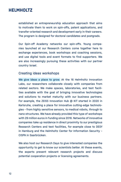established an entrepreneurship education approach that aims to motivate them to work on spin-offs, patent applications, and transfer-oriented research and development early in their careers. The program is designed for doctoral candidates and postgrads.

Our Spin-off Academy networks our spin-offs. Young companies launched at our Research Centers come together here to exchange experiences, book workshops and coaching sessions, and use digital tools and event formats to find supporters. We are also increasingly pursuing these activities with our partner country Israel.

#### Creating ideas workshops

We give ideas a place to grow. At the 16 Helmholtz Innovation Labs, our researchers collaborate closely with companies from related sectors. We make spaces, laboratories, and test facilities available with the goal of bringing innovative technologies and solutions to market maturity with our business partners. For example, the ZEISS Innovation Hub @ KIT started in 2020 in Karlsruhe, creating a place for innovative cutting-edge technologies – from highly sensitive sensors, to medical robots, through to nano structures. We have already provided this type of workshops with 29 million euros in funding since 2016. Networks of innovative companies take up residence in direct proximity to our prestigious Research Centers and test facilities, for example close to DESY in Hamburg and the Helmholtz Center for Information Security – CISPA in Saarbrücken.

We also host our Research Days to give interested companies the opportunity to get to know our scientists better. At these events, the experts present relevant research projects and discuss potential cooperation projects or licensing agreements.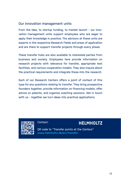#### Our innovation management units

From the idea, to startup funding, to market launch – our innovation management units support employees who are eager to apply their knowledge in practice. The advisors at these units are experts in the respective Research Fields and areas of application and are there to support transfer projects through every phase.

These transfer hubs are also available to interested parties from business and society. Employees here provide information on research projects with relevance for transfer, appropriate test facilities, and various cooperation models. They also inquire about the practical requirements and integrate these into the research.

Each of our Research Centers offers a point of contact of this type for any questions relating to transfer. They bring prospective founders together, provide information on financing models, offer advice on patents, and organize coaching sessions. Get in touch with us – together we turn ideas into practical applications.



#### Contact:

#### **HELMHOLTZ**

OR code to "Transfer points at the Centers" www.helmholtz.de/en/transfer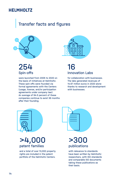## Transfer figures Transfer facts and figures



### 254 Spin-offs

were launched from 2005 to 2020 on the basis of initiatives at Helmholtz. These spin-offs were founded via formal agreements with the Centers (usage, license, and/or participation agreements under company law). An average of 94.5 percent of these companies continue to exist 36 months after their founding.



### 16 Innovation Labs

for collaboration with businesses. The labs generated revenues of 14.67 million euros in 2020 alone thanks to research and development with businesses.



>4,000 patent families

and a total of over 13,000 property rights are included in the patent portfolio of the Helmholtz Centers.

 $>30<sub>0</sub>$ publications

with relevance to standards have been written by Helmholtz researchers, with ISO standards and comparable ISO documents taking these publications as their basis.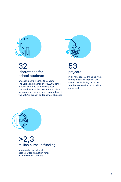

#### 32 laboratories for school students

are set up at 15 Helmholtz Centers. The DLR alone reaches over 10,000 school students with its offers every year. The AWI has recorded over 100,000 visits per month on the web app it created about the MOSAiC expedition for school students.



53 projects

in all have received funding from the Helmholtz Validation Fund since 2011, including more than ten that received about 2 million euros each.



### $>2,3$ million euros in funding

are provided by Helmholtz each year for innovation funds at 16 Helmholtz Centers.